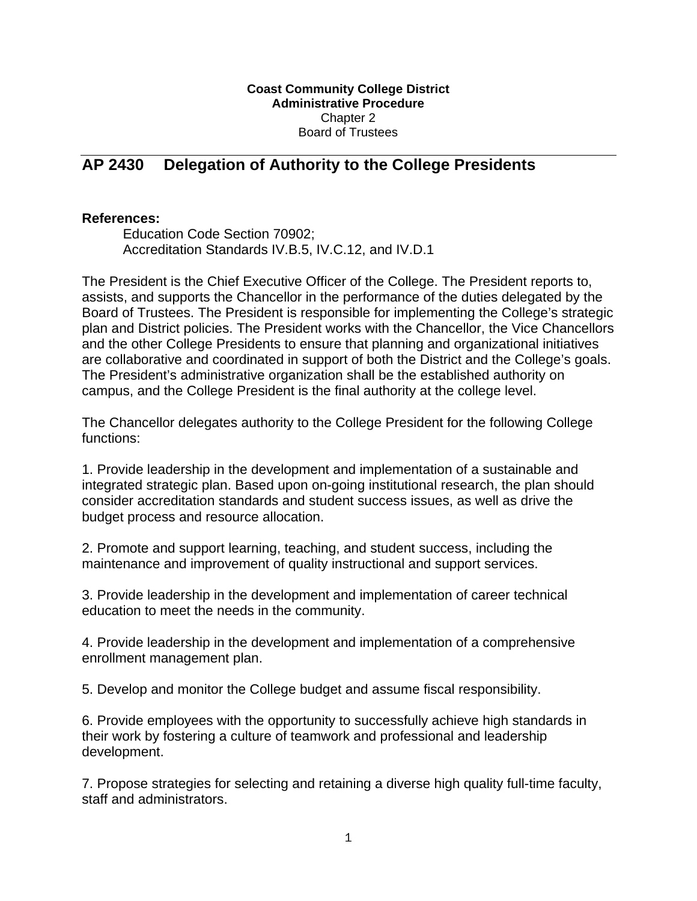## **Coast Community College District Administrative Procedure**  Chapter 2 Board of Trustees

## **AP 2430 Delegation of Authority to the College Presidents**

## **References:**

Education Code Section 70902; Accreditation Standards IV.B.5, IV.C.12, and IV.D.1

The President is the Chief Executive Officer of the College. The President reports to, assists, and supports the Chancellor in the performance of the duties delegated by the Board of Trustees. The President is responsible for implementing the College's strategic plan and District policies. The President works with the Chancellor, the Vice Chancellors and the other College Presidents to ensure that planning and organizational initiatives are collaborative and coordinated in support of both the District and the College's goals. The President's administrative organization shall be the established authority on campus, and the College President is the final authority at the college level.

The Chancellor delegates authority to the College President for the following College functions:

1. Provide leadership in the development and implementation of a sustainable and integrated strategic plan. Based upon on-going institutional research, the plan should consider accreditation standards and student success issues, as well as drive the budget process and resource allocation.

2. Promote and support learning, teaching, and student success, including the maintenance and improvement of quality instructional and support services.

3. Provide leadership in the development and implementation of career technical education to meet the needs in the community.

4. Provide leadership in the development and implementation of a comprehensive enrollment management plan.

5. Develop and monitor the College budget and assume fiscal responsibility.

6. Provide employees with the opportunity to successfully achieve high standards in their work by fostering a culture of teamwork and professional and leadership development.

7. Propose strategies for selecting and retaining a diverse high quality full-time faculty, staff and administrators.